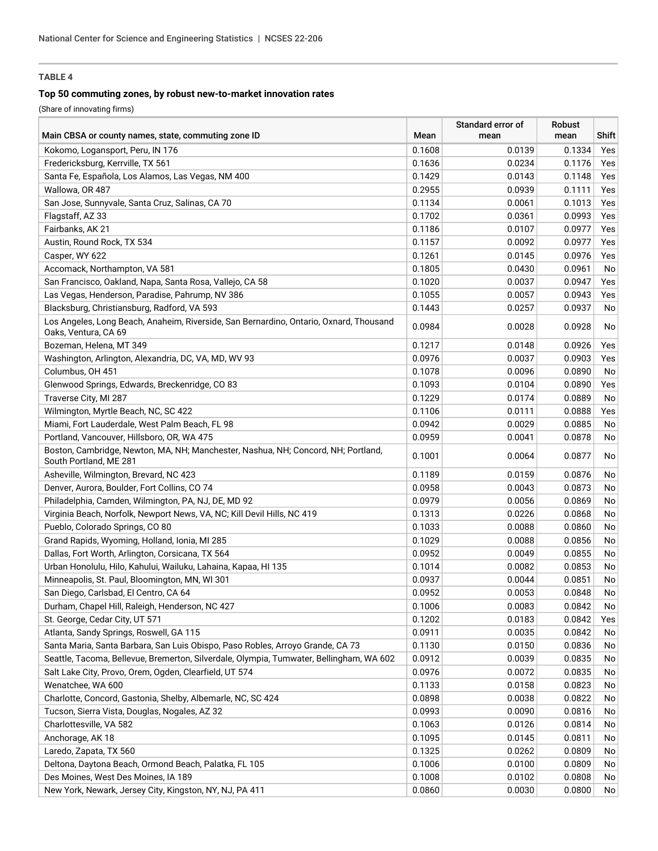# **TABLE 4**

## **Top 50 commuting zones, by robust new-to-market innovation rates**

(Share of innovating firms)

| Main CBSA or county names, state, commuting zone ID                                                            | Mean   | Standard error of<br>mean | <b>Robust</b><br>mean | Shift |
|----------------------------------------------------------------------------------------------------------------|--------|---------------------------|-----------------------|-------|
|                                                                                                                |        |                           |                       |       |
| Kokomo, Logansport, Peru, IN 176                                                                               | 0.1608 | 0.0139                    | 0.1334                | Yes   |
| Fredericksburg, Kerrville, TX 561                                                                              | 0.1636 | 0.0234                    | 0.1176                | Yes   |
| Santa Fe, Española, Los Alamos, Las Vegas, NM 400                                                              | 0.1429 | 0.0143                    | 0.1148                | Yes   |
| Wallowa, OR 487                                                                                                | 0.2955 | 0.0939                    | 0.1111                | Yes   |
| San Jose, Sunnyvale, Santa Cruz, Salinas, CA 70                                                                | 0.1134 | 0.0061                    | 0.1013                | Yes   |
| Flagstaff, AZ 33                                                                                               | 0.1702 | 0.0361                    | 0.0993                | Yes   |
| Fairbanks, AK 21                                                                                               | 0.1186 | 0.0107                    | 0.0977                | Yes   |
| Austin, Round Rock, TX 534                                                                                     | 0.1157 | 0.0092                    | 0.0977                | Yes   |
| Casper, WY 622                                                                                                 | 0.1261 | 0.0145                    | 0.0976                | Yes   |
| Accomack, Northampton, VA 581                                                                                  | 0.1805 | 0.0430                    | 0.0961                | No    |
| San Francisco, Oakland, Napa, Santa Rosa, Vallejo, CA 58                                                       | 0.1020 | 0.0037                    | 0.0947                | Yes   |
| Las Vegas, Henderson, Paradise, Pahrump, NV 386                                                                | 0.1055 | 0.0057                    | 0.0943                | Yes   |
| Blacksburg, Christiansburg, Radford, VA 593                                                                    | 0.1443 | 0.0257                    | 0.0937                | No    |
| Los Angeles, Long Beach, Anaheim, Riverside, San Bernardino, Ontario, Oxnard, Thousand<br>Oaks, Ventura, CA 69 | 0.0984 | 0.0028                    | 0.0928                | No    |
| Bozeman, Helena, MT 349                                                                                        | 0.1217 | 0.0148                    | 0.0926                | Yes   |
| Washington, Arlington, Alexandria, DC, VA, MD, WV 93                                                           | 0.0976 | 0.0037                    | 0.0903                | Yes   |
| Columbus, OH 451                                                                                               | 0.1078 | 0.0096                    | 0.0890                | No    |
| Glenwood Springs, Edwards, Breckenridge, CO 83                                                                 | 0.1093 | 0.0104                    | 0.0890                | Yes   |
| Traverse City, MI 287                                                                                          | 0.1229 | 0.0174                    | 0.0889                | No    |
| Wilmington, Myrtle Beach, NC, SC 422                                                                           | 0.1106 | 0.0111                    | 0.0888                | Yes   |
| Miami, Fort Lauderdale, West Palm Beach, FL 98                                                                 | 0.0942 | 0.0029                    | 0.0885                | No    |
| Portland, Vancouver, Hillsboro, OR, WA 475                                                                     | 0.0959 | 0.0041                    | 0.0878                | No    |
| Boston, Cambridge, Newton, MA, NH; Manchester, Nashua, NH; Concord, NH; Portland,<br>South Portland, ME 281    | 0.1001 | 0.0064                    | 0.0877                | No    |
| Asheville, Wilmington, Brevard, NC 423                                                                         | 0.1189 | 0.0159                    | 0.0876                | No    |
| Denver, Aurora, Boulder, Fort Collins, CO 74                                                                   | 0.0958 | 0.0043                    | 0.0873                | No    |
| Philadelphia, Camden, Wilmington, PA, NJ, DE, MD 92                                                            | 0.0979 | 0.0056                    | 0.0869                | No    |
| Virginia Beach, Norfolk, Newport News, VA, NC; Kill Devil Hills, NC 419                                        | 0.1313 | 0.0226                    | 0.0868                | No    |
| Pueblo, Colorado Springs, CO 80                                                                                | 0.1033 | 0.0088                    | 0.0860                | No    |
| Grand Rapids, Wyoming, Holland, Ionia, MI 285                                                                  | 0.1029 | 0.0088                    | 0.0856                | No    |
| Dallas, Fort Worth, Arlington, Corsicana, TX 564                                                               | 0.0952 | 0.0049                    | 0.0855                | No    |
| Urban Honolulu, Hilo, Kahului, Wailuku, Lahaina, Kapaa, HI 135                                                 | 0.1014 | 0.0082                    | 0.0853                | No    |
| Minneapolis, St. Paul, Bloomington, MN, WI 301                                                                 | 0.0937 | 0.0044                    | 0.0851                | No    |
| San Diego, Carlsbad, El Centro, CA 64                                                                          | 0.0952 | 0.0053                    | 0.0848                | No    |
| Durham, Chapel Hill, Raleigh, Henderson, NC 427                                                                | 0.1006 | 0.0083                    | 0.0842                | No    |
| St. George, Cedar City, UT 571                                                                                 | 0.1202 | 0.0183                    | 0.0842                | Yes   |
| Atlanta, Sandy Springs, Roswell, GA 115                                                                        | 0.0911 | 0.0035                    | 0.0842                | No    |
| Santa Maria, Santa Barbara, San Luis Obispo, Paso Robles, Arroyo Grande, CA 73                                 | 0.1130 | 0.0150                    | 0.0836                | No    |
| Seattle, Tacoma, Bellevue, Bremerton, Silverdale, Olympia, Tumwater, Bellingham, WA 602                        | 0.0912 | 0.0039                    | 0.0835                | No    |
| Salt Lake City, Provo, Orem, Ogden, Clearfield, UT 574                                                         | 0.0976 | 0.0072                    | 0.0835                | No    |
| Wenatchee, WA 600                                                                                              | 0.1133 | 0.0158                    | 0.0823                | No    |
| Charlotte, Concord, Gastonia, Shelby, Albemarle, NC, SC 424                                                    | 0.0898 | 0.0038                    | 0.0822                | No    |
| Tucson, Sierra Vista, Douglas, Nogales, AZ 32                                                                  | 0.0993 | 0.0090                    | 0.0816                | No    |
| Charlottesville, VA 582                                                                                        | 0.1063 | 0.0126                    | 0.0814                | No    |
| Anchorage, AK 18                                                                                               | 0.1095 | 0.0145                    | 0.0811                | No    |
|                                                                                                                |        |                           |                       |       |
| Laredo, Zapata, TX 560<br>Deltona, Daytona Beach, Ormond Beach, Palatka, FL 105                                | 0.1325 | 0.0262                    | 0.0809                | No    |
|                                                                                                                | 0.1006 | 0.0100                    | 0.0809                | No    |
| Des Moines, West Des Moines, IA 189                                                                            | 0.1008 | 0.0102                    | 0.0808                | No    |
| New York, Newark, Jersey City, Kingston, NY, NJ, PA 411                                                        | 0.0860 | 0.0030                    | 0.0800                | No    |